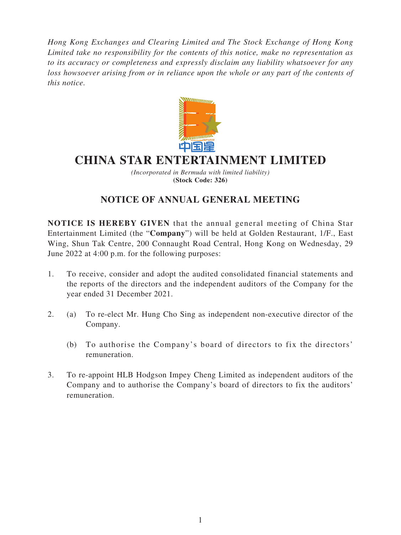*Hong Kong Exchanges and Clearing Limited and The Stock Exchange of Hong Kong Limited take no responsibility for the contents of this notice, make no representation as to its accuracy or completeness and expressly disclaim any liability whatsoever for any loss howsoever arising from or in reliance upon the whole or any part of the contents of this notice.*



# **CHINA STAR ENTERTAINMENT LIMITED**

*(Incorporated in Bermuda with limited liability)* **(Stock Code: 326)**

## **NOTICE OF ANNUAL GENERAL MEETING**

**NOTICE IS HEREBY GIVEN** that the annual general meeting of China Star Entertainment Limited (the "**Company**") will be held at Golden Restaurant, 1/F., East Wing, Shun Tak Centre, 200 Connaught Road Central, Hong Kong on Wednesday, 29 June 2022 at 4:00 p.m. for the following purposes:

- 1. To receive, consider and adopt the audited consolidated financial statements and the reports of the directors and the independent auditors of the Company for the year ended 31 December 2021.
- 2. (a) To re-elect Mr. Hung Cho Sing as independent non-executive director of the Company.
	- (b) To authorise the Company's board of directors to fix the directors' remuneration.
- 3. To re-appoint HLB Hodgson Impey Cheng Limited as independent auditors of the Company and to authorise the Company's board of directors to fix the auditors' remuneration.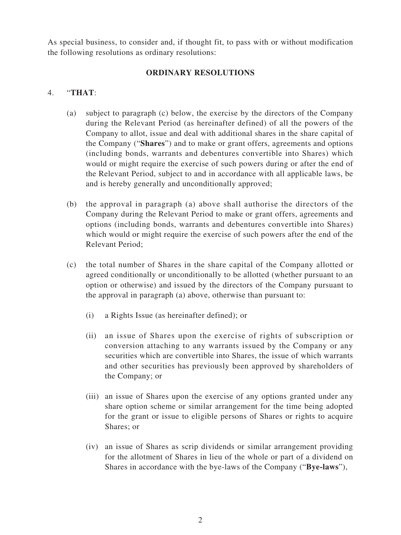As special business, to consider and, if thought fit, to pass with or without modification the following resolutions as ordinary resolutions:

#### **ORDINARY RESOLUTIONS**

#### 4. "**THAT**:

- (a) subject to paragraph (c) below, the exercise by the directors of the Company during the Relevant Period (as hereinafter defined) of all the powers of the Company to allot, issue and deal with additional shares in the share capital of the Company ("**Shares**") and to make or grant offers, agreements and options (including bonds, warrants and debentures convertible into Shares) which would or might require the exercise of such powers during or after the end of the Relevant Period, subject to and in accordance with all applicable laws, be and is hereby generally and unconditionally approved;
- (b) the approval in paragraph (a) above shall authorise the directors of the Company during the Relevant Period to make or grant offers, agreements and options (including bonds, warrants and debentures convertible into Shares) which would or might require the exercise of such powers after the end of the Relevant Period;
- (c) the total number of Shares in the share capital of the Company allotted or agreed conditionally or unconditionally to be allotted (whether pursuant to an option or otherwise) and issued by the directors of the Company pursuant to the approval in paragraph (a) above, otherwise than pursuant to:
	- (i) a Rights Issue (as hereinafter defined); or
	- (ii) an issue of Shares upon the exercise of rights of subscription or conversion attaching to any warrants issued by the Company or any securities which are convertible into Shares, the issue of which warrants and other securities has previously been approved by shareholders of the Company; or
	- (iii) an issue of Shares upon the exercise of any options granted under any share option scheme or similar arrangement for the time being adopted for the grant or issue to eligible persons of Shares or rights to acquire Shares; or
	- (iv) an issue of Shares as scrip dividends or similar arrangement providing for the allotment of Shares in lieu of the whole or part of a dividend on Shares in accordance with the bye-laws of the Company ("**Bye-laws**"),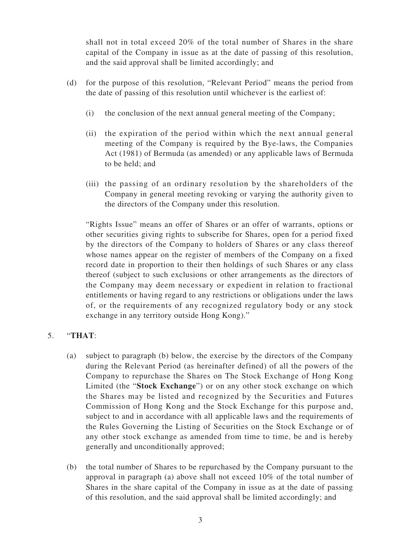shall not in total exceed 20% of the total number of Shares in the share capital of the Company in issue as at the date of passing of this resolution, and the said approval shall be limited accordingly; and

- (d) for the purpose of this resolution, "Relevant Period" means the period from the date of passing of this resolution until whichever is the earliest of:
	- (i) the conclusion of the next annual general meeting of the Company;
	- (ii) the expiration of the period within which the next annual general meeting of the Company is required by the Bye-laws, the Companies Act (1981) of Bermuda (as amended) or any applicable laws of Bermuda to be held; and
	- (iii) the passing of an ordinary resolution by the shareholders of the Company in general meeting revoking or varying the authority given to the directors of the Company under this resolution.

"Rights Issue" means an offer of Shares or an offer of warrants, options or other securities giving rights to subscribe for Shares, open for a period fixed by the directors of the Company to holders of Shares or any class thereof whose names appear on the register of members of the Company on a fixed record date in proportion to their then holdings of such Shares or any class thereof (subject to such exclusions or other arrangements as the directors of the Company may deem necessary or expedient in relation to fractional entitlements or having regard to any restrictions or obligations under the laws of, or the requirements of any recognized regulatory body or any stock exchange in any territory outside Hong Kong)."

### 5. "**THAT**:

- (a) subject to paragraph (b) below, the exercise by the directors of the Company during the Relevant Period (as hereinafter defined) of all the powers of the Company to repurchase the Shares on The Stock Exchange of Hong Kong Limited (the "**Stock Exchange**") or on any other stock exchange on which the Shares may be listed and recognized by the Securities and Futures Commission of Hong Kong and the Stock Exchange for this purpose and, subject to and in accordance with all applicable laws and the requirements of the Rules Governing the Listing of Securities on the Stock Exchange or of any other stock exchange as amended from time to time, be and is hereby generally and unconditionally approved;
- (b) the total number of Shares to be repurchased by the Company pursuant to the approval in paragraph (a) above shall not exceed 10% of the total number of Shares in the share capital of the Company in issue as at the date of passing of this resolution, and the said approval shall be limited accordingly; and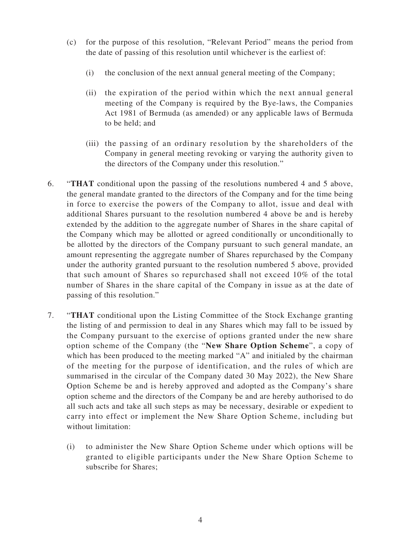- (c) for the purpose of this resolution, "Relevant Period" means the period from the date of passing of this resolution until whichever is the earliest of:
	- (i) the conclusion of the next annual general meeting of the Company;
	- (ii) the expiration of the period within which the next annual general meeting of the Company is required by the Bye-laws, the Companies Act 1981 of Bermuda (as amended) or any applicable laws of Bermuda to be held; and
	- (iii) the passing of an ordinary resolution by the shareholders of the Company in general meeting revoking or varying the authority given to the directors of the Company under this resolution."
- 6. "**THAT** conditional upon the passing of the resolutions numbered 4 and 5 above, the general mandate granted to the directors of the Company and for the time being in force to exercise the powers of the Company to allot, issue and deal with additional Shares pursuant to the resolution numbered 4 above be and is hereby extended by the addition to the aggregate number of Shares in the share capital of the Company which may be allotted or agreed conditionally or unconditionally to be allotted by the directors of the Company pursuant to such general mandate, an amount representing the aggregate number of Shares repurchased by the Company under the authority granted pursuant to the resolution numbered 5 above, provided that such amount of Shares so repurchased shall not exceed 10% of the total number of Shares in the share capital of the Company in issue as at the date of passing of this resolution."
- 7. "**THAT** conditional upon the Listing Committee of the Stock Exchange granting the listing of and permission to deal in any Shares which may fall to be issued by the Company pursuant to the exercise of options granted under the new share option scheme of the Company (the "**New Share Option Scheme**", a copy of which has been produced to the meeting marked "A" and initialed by the chairman of the meeting for the purpose of identification, and the rules of which are summarised in the circular of the Company dated 30 May 2022), the New Share Option Scheme be and is hereby approved and adopted as the Company's share option scheme and the directors of the Company be and are hereby authorised to do all such acts and take all such steps as may be necessary, desirable or expedient to carry into effect or implement the New Share Option Scheme, including but without limitation:
	- (i) to administer the New Share Option Scheme under which options will be granted to eligible participants under the New Share Option Scheme to subscribe for Shares;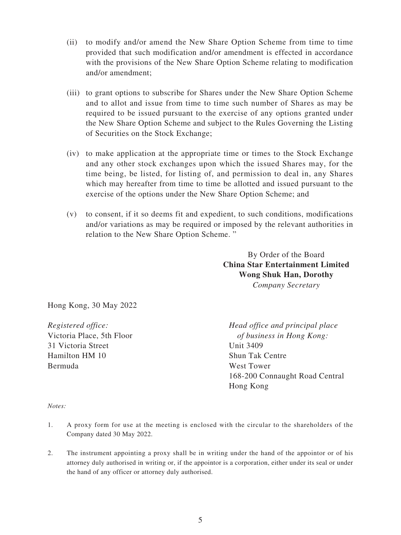- (ii) to modify and/or amend the New Share Option Scheme from time to time provided that such modification and/or amendment is effected in accordance with the provisions of the New Share Option Scheme relating to modification and/or amendment;
- (iii) to grant options to subscribe for Shares under the New Share Option Scheme and to allot and issue from time to time such number of Shares as may be required to be issued pursuant to the exercise of any options granted under the New Share Option Scheme and subject to the Rules Governing the Listing of Securities on the Stock Exchange;
- (iv) to make application at the appropriate time or times to the Stock Exchange and any other stock exchanges upon which the issued Shares may, for the time being, be listed, for listing of, and permission to deal in, any Shares which may hereafter from time to time be allotted and issued pursuant to the exercise of the options under the New Share Option Scheme; and
- (v) to consent, if it so deems fit and expedient, to such conditions, modifications and/or variations as may be required or imposed by the relevant authorities in relation to the New Share Option Scheme. "

By Order of the Board **China Star Entertainment Limited Wong Shuk Han, Dorothy** *Company Secretary*

Hong Kong, 30 May 2022

31 Victoria Street Unit 3409 Hamilton HM 10 Shun Tak Centre Bermuda West Tower

*Registered office: Head office and principal place* Victoria Place, 5th Floor *of business in Hong Kong:* 168-200 Connaught Road Central Hong Kong

*Notes:*

- 1. A proxy form for use at the meeting is enclosed with the circular to the shareholders of the Company dated 30 May 2022.
- 2. The instrument appointing a proxy shall be in writing under the hand of the appointor or of his attorney duly authorised in writing or, if the appointor is a corporation, either under its seal or under the hand of any officer or attorney duly authorised.